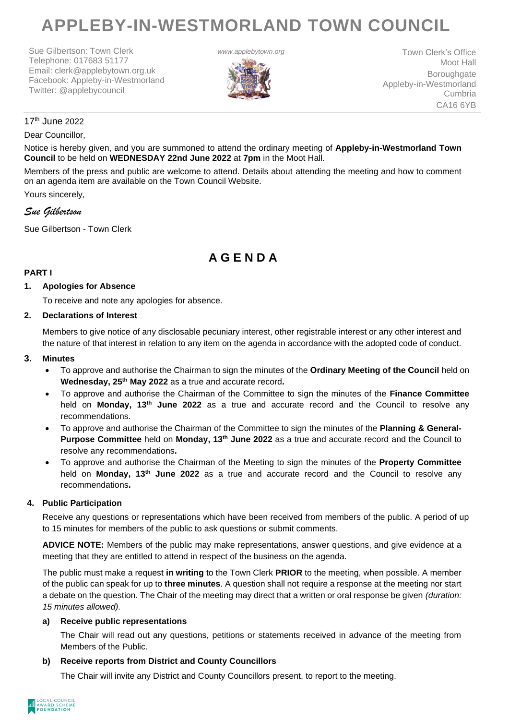# **APPLEBY-IN-WESTMORLAND TOWN COUNCIL**

Sue Gilbertson: Town Clerk Telephone: 017683 51177 Email: clerk@applebytown.org.uk Facebook: Appleby-in-Westmorland Twitter: @applebycouncil



**www.applebytown.org** Town Clerk's Office Moot Hall **Boroughgate** Appleby-in-Westmorland Cumbria CA16 6YB

# 17th June 2022

### Dear Councillor,

Notice is hereby given, and you are summoned to attend the ordinary meeting of **Appleby-in-Westmorland Town Council** to be held on **WEDNESDAY 22nd June 2022** at **7pm** in the Moot Hall.

Members of the press and public are welcome to attend. Details about attending the meeting and how to comment on an agenda item are available on the Town Council Website.

Yours sincerely,

# *Sue Gilbertson*

Sue Gilbertson - Town Clerk

# **A G E N D A**

#### **PART I**

#### **1. Apologies for Absence**

To receive and note any apologies for absence.

#### **2. Declarations of Interest**

Members to give notice of any disclosable pecuniary interest, other registrable interest or any other interest and the nature of that interest in relation to any item on the agenda in accordance with the adopted code of conduct.

#### **3. Minutes**

- To approve and authorise the Chairman to sign the minutes of the **Ordinary Meeting of the Council** held on **Wednesday, 25th May 2022** as a true and accurate record**.**
- To approve and authorise the Chairman of the Committee to sign the minutes of the **Finance Committee** held on **Monday, 13th June 2022** as a true and accurate record and the Council to resolve any recommendations.
- To approve and authorise the Chairman of the Committee to sign the minutes of the **Planning & General-Purpose Committee** held on **Monday, 13th June 2022** as a true and accurate record and the Council to resolve any recommendations**.**
- To approve and authorise the Chairman of the Meeting to sign the minutes of the **Property Committee** held on **Monday, 13th June 2022** as a true and accurate record and the Council to resolve any recommendations**.**

#### **4. Public Participation**

Receive any questions or representations which have been received from members of the public. A period of up to 15 minutes for members of the public to ask questions or submit comments.

**ADVICE NOTE:** Members of the public may make representations, answer questions, and give evidence at a meeting that they are entitled to attend in respect of the business on the agenda.

The public must make a request **in writing** to the Town Clerk **PRIOR** to the meeting, when possible. A member of the public can speak for up to **three minutes**. A question shall not require a response at the meeting nor start a debate on the question. The Chair of the meeting may direct that a written or oral response be given *(duration: 15 minutes allowed).*

#### **a) Receive public representations**

The Chair will read out any questions, petitions or statements received in advance of the meeting from Members of the Public.

#### **b) Receive reports from District and County Councillors**

The Chair will invite any District and County Councillors present, to report to the meeting.